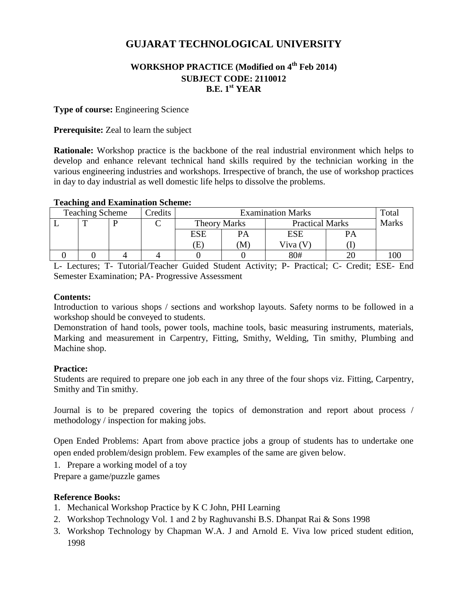# **GUJARAT TECHNOLOGICAL UNIVERSITY**

# **WORKSHOP PRACTICE (Modified on 4th Feb 2014) SUBJECT CODE: 2110012 B.E. 1 st YEAR**

#### **Type of course:** Engineering Science

#### **Prerequisite:** Zeal to learn the subject

**Rationale:** Workshop practice is the backbone of the real industrial environment which helps to develop and enhance relevant technical hand skills required by the technician working in the various engineering industries and workshops. Irrespective of branch, the use of workshop practices in day to day industrial as well domestic life helps to dissolve the problems.

| <b>Teaching Scheme</b> |  |  | Credits | <b>Examination Marks</b> |            |                        |    | Total        |
|------------------------|--|--|---------|--------------------------|------------|------------------------|----|--------------|
|                        |  |  |         | <b>Theory Marks</b>      |            | <b>Practical Marks</b> |    | <b>Marks</b> |
|                        |  |  |         | ESE                      | PA         | <b>ESE</b>             | PA |              |
|                        |  |  |         | Œ                        | $\bf{(M)}$ | Viva $(V)$             |    |              |
|                        |  |  |         |                          |            | 80#                    |    |              |

#### **Teaching and Examination Scheme:**

L- Lectures; T- Tutorial/Teacher Guided Student Activity; P- Practical; C- Credit; ESE- End Semester Examination; PA- Progressive Assessment

#### **Contents:**

Introduction to various shops / sections and workshop layouts. Safety norms to be followed in a workshop should be conveyed to students.

Demonstration of hand tools, power tools, machine tools, basic measuring instruments, materials, Marking and measurement in Carpentry, Fitting, Smithy, Welding, Tin smithy, Plumbing and Machine shop.

#### **Practice:**

Students are required to prepare one job each in any three of the four shops viz. Fitting, Carpentry, Smithy and Tin smithy.

Journal is to be prepared covering the topics of demonstration and report about process / methodology / inspection for making jobs.

Open Ended Problems: Apart from above practice jobs a group of students has to undertake one open ended problem/design problem. Few examples of the same are given below.

1. Prepare a working model of a toy

Prepare a game/puzzle games

#### **Reference Books:**

- 1. Mechanical Workshop Practice by K C John, PHI Learning
- 2. Workshop Technology Vol. 1 and 2 by Raghuvanshi B.S. Dhanpat Rai & Sons 1998
- 3. Workshop Technology by Chapman W.A. J and Arnold E. Viva low priced student edition, 1998